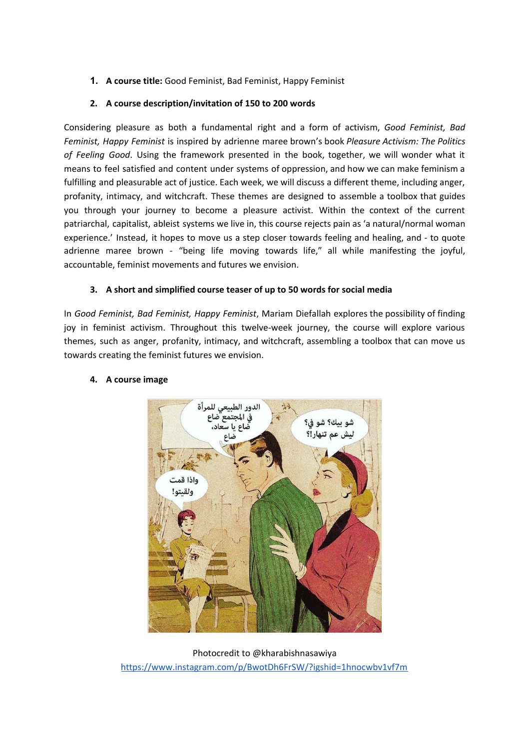# **1. A course title:** Good Feminist, Bad Feminist, Happy Feminist

# **2. A course description/invitation of 150 to 200 words**

Considering pleasure as both a fundamental right and a form of activism, *Good Feminist, Bad Feminist, Happy Feminist* is inspired by adrienne maree brown's book *Pleasure Activism: The Politics of Feeling Good*. Using the framework presented in the book, together, we will wonder what it means to feel satisfied and content under systems of oppression, and how we can make feminism a fulfilling and pleasurable act of justice. Each week, we will discuss a different theme, including anger, profanity, intimacy, and witchcraft. These themes are designed to assemble a toolbox that guides you through your journey to become a pleasure activist. Within the context of the current patriarchal, capitalist, ableist systems we live in, this course rejects pain as 'a natural/normal woman experience.' Instead, it hopes to move us a step closer towards feeling and healing, and - to quote adrienne maree brown - "being life moving towards life," all while manifesting the joyful, accountable, feminist movements and futures we envision.

# **3. A short and simplified course teaser of up to 50 words for social media**

In *Good Feminist, Bad Feminist, Happy Feminist*, Mariam Diefallah explores the possibility of finding joy in feminist activism. Throughout this twelve-week journey, the course will explore various themes, such as anger, profanity, intimacy, and witchcraft, assembling a toolbox that can move us towards creating the feminist futures we envision.



# **4. A course image**

Photocredit to @kharabishnasawiya <https://www.instagram.com/p/BwotDh6FrSW/?igshid=1hnocwbv1vf7m>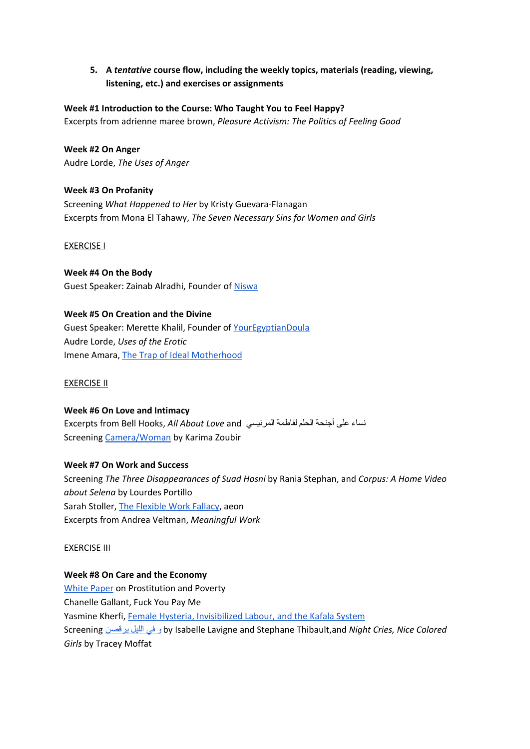# **5. A** *tentative* **course flow, including the weekly topics, materials (reading, viewing, listening, etc.) and exercises or assignments**

## **Week #1 Introduction to the Course: Who Taught You to Feel Happy?**

Excerpts from adrienne maree brown, *Pleasure Activism: The Politics of Feeling Good*

**Week #2 On Anger** Audre Lorde, *The Uses of Anger*

**Week #3 On Profanity** Screening *What Happened to Her* by Kristy Guevara-Flanagan Excerpts from Mona El Tahawy, *The Seven Necessary Sins for Women and Girls*

#### EXERCISE I

**Week #4 On the Body** Guest Speaker: Zainab Alradhi, Founder of [Niswa](https://www.niswa.org/)

**Week #5 On Creation and the Divine** Guest Speaker: Merette Khalil, Founder of [YourEgyptianDoula](https://youregyptiandoula.com/) Audre Lorde, *Uses of the Erotic* Imene Amara, The Trap of Ideal [Motherhood](https://kohljournal.press/trap-ideal-motherhood)

**EXERCISE II** 

# **Week #6 On Love and Intimacy** Excerpts from Bell Hooks, *All About Love* and المرنیسي لفاطمة الحلم أجنحة على نساء

Screening [Camera/Woman](https://www.wmm.com/catalog/film/camerawoman/) by Karima Zoubir

#### **Week #7 On Work and Success**

Screening *The Three Disappearances of Suad Hosni* by Rania Stephan, and *Corpus: A Home Video about Selena* by Lourdes Portillo Sarah Stoller, The [Flexible](https://aeon.co/essays/how-did-flexible-work-turn-from-a-feminist-ideal-to-a-trap) Work Fallacy, aeon Excerpts from Andrea Veltman, *Meaningful Work*

#### **EXERCISE III**

#### **Week #8 On Care and the Economy**

[White](https://sitahoesierra.org/abstracts/Prostitution%20is%20not%20a%20choice.pdf) Paper on Prostitution and Poverty Chanelle Gallant, Fuck You Pay Me Yasmine Kherfi, Female Hysteria, [Invisibilized](https://kohljournal.press/female-hysteria) Labour, and the Kafala System Screening [یرقصن](https://www.youtube.com/watch?v=xh45GV8wFqY) اللیل في و by Isabelle Lavigne and Stephane Thibault,and *Night Cries, Nice Colored Girls* by Tracey Moffat